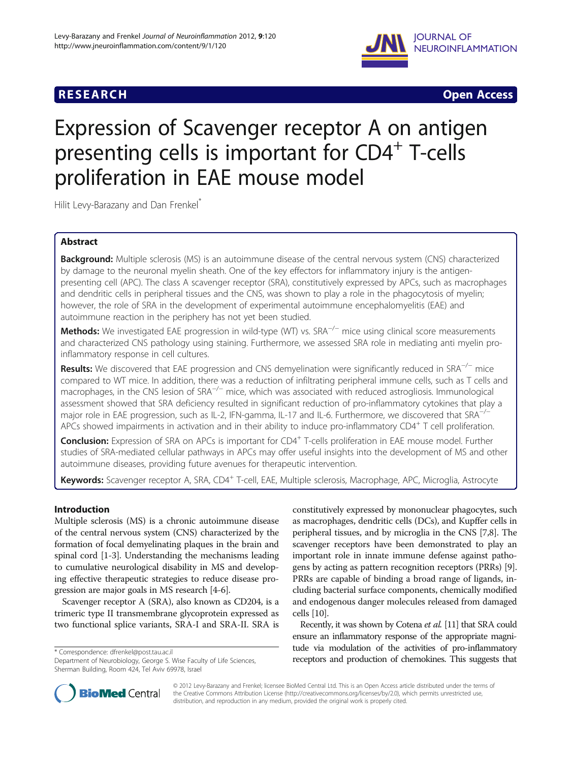## **RESEARCH RESEARCH** *CHECK <b>CHECK*



# Expression of Scavenger receptor A on antigen presenting cells is important for CD4<sup>+</sup> T-cells proliferation in EAE mouse model

Hilit Levy-Barazany and Dan Frenkel<sup>\*</sup>

## Abstract

Background: Multiple sclerosis (MS) is an autoimmune disease of the central nervous system (CNS) characterized by damage to the neuronal myelin sheath. One of the key effectors for inflammatory injury is the antigenpresenting cell (APC). The class A scavenger receptor (SRA), constitutively expressed by APCs, such as macrophages and dendritic cells in peripheral tissues and the CNS, was shown to play a role in the phagocytosis of myelin; however, the role of SRA in the development of experimental autoimmune encephalomyelitis (EAE) and autoimmune reaction in the periphery has not yet been studied.

Methods: We investigated EAE progression in wild-type (WT) vs. SRA<sup>−/−</sup> mice using clinical score measurements and characterized CNS pathology using staining. Furthermore, we assessed SRA role in mediating anti myelin proinflammatory response in cell cultures.

Results: We discovered that EAE progression and CNS demyelination were significantly reduced in SRA<sup>−/−</sup> mice compared to WT mice. In addition, there was a reduction of infiltrating peripheral immune cells, such as T cells and macrophages, in the CNS lesion of SRA−/<sup>−</sup> mice, which was associated with reduced astrogliosis. Immunological assessment showed that SRA deficiency resulted in significant reduction of pro-inflammatory cytokines that play a major role in EAE progression, such as IL-2, IFN-gamma, IL-17 and IL-6. Furthermore, we discovered that SRA<sup>-/</sup> APCs showed impairments in activation and in their ability to induce pro-inflammatory  $CD4^+$  T cell proliferation.

**Conclusion:** Expression of SRA on APCs is important for CD4<sup>+</sup> T-cells proliferation in EAE mouse model. Further studies of SRA-mediated cellular pathways in APCs may offer useful insights into the development of MS and other autoimmune diseases, providing future avenues for therapeutic intervention.

Keywords: Scavenger receptor A, SRA, CD4<sup>+</sup> T-cell, EAE, Multiple sclerosis, Macrophage, APC, Microglia, Astrocyte

## Introduction

Multiple sclerosis (MS) is a chronic autoimmune disease of the central nervous system (CNS) characterized by the formation of focal demyelinating plaques in the brain and spinal cord [\[1-3](#page-7-0)]. Understanding the mechanisms leading to cumulative neurological disability in MS and developing effective therapeutic strategies to reduce disease progression are major goals in MS research [[4-6\]](#page-7-0).

Scavenger receptor A (SRA), also known as CD204, is a trimeric type II transmembrane glycoprotein expressed as two functional splice variants, SRA-I and SRA-II. SRA is

constitutively expressed by mononuclear phagocytes, such as macrophages, dendritic cells (DCs), and Kupffer cells in peripheral tissues, and by microglia in the CNS [[7,8](#page-7-0)]. The scavenger receptors have been demonstrated to play an important role in innate immune defense against pathogens by acting as pattern recognition receptors (PRRs) [[9](#page-7-0)]. PRRs are capable of binding a broad range of ligands, including bacterial surface components, chemically modified and endogenous danger molecules released from damaged cells [[10](#page-7-0)].

Recently, it was shown by Cotena et al. [\[11\]](#page-7-0) that SRA could ensure an inflammatory response of the appropriate magnitude via modulation of the activities of pro-inflammatory \* Correspondence: [dfrenkel@post.tau.ac.il](mailto:dfrenkel@post.tau.ac.il)<br>Department of Neurobiology, George S. Wise Faculty of Life Sciences, **beceptors and production of chemokines. This suggests that** 



© 2012 Levy-Barazany and Frenkel; licensee BioMed Central Ltd. This is an Open Access article distributed under the terms of the Creative Commons Attribution License [\(http://creativecommons.org/licenses/by/2.0\)](http://creativecommons.org/licenses/by/2.0), which permits unrestricted use, distribution, and reproduction in any medium, provided the original work is properly cited.

Department of Neurobiology, George S. Wise Faculty of Life Sciences, Sherman Building, Room 424, Tel Aviv 69978, Israel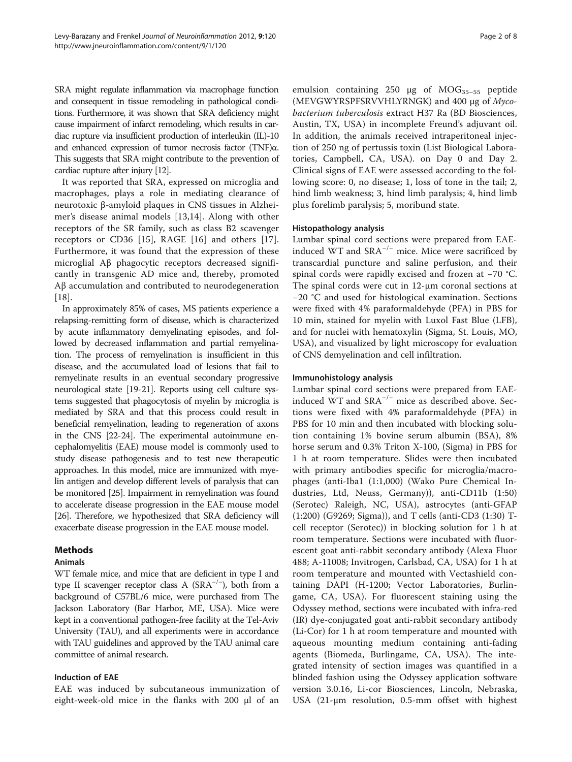SRA might regulate inflammation via macrophage function and consequent in tissue remodeling in pathological conditions. Furthermore, it was shown that SRA deficiency might cause impairment of infarct remodeling, which results in cardiac rupture via insufficient production of interleukin (IL)-10 and enhanced expression of tumor necrosis factor (TNF)α. This suggests that SRA might contribute to the prevention of cardiac rupture after injury [\[12](#page-7-0)].

It was reported that SRA, expressed on microglia and macrophages, plays a role in mediating clearance of neurotoxic β-amyloid plaques in CNS tissues in Alzheimer's disease animal models [\[13,14](#page-7-0)]. Along with other receptors of the SR family, such as class B2 scavenger receptors or CD36 [[15\]](#page-7-0), RAGE [[16](#page-7-0)] and others [\[17](#page-7-0)]. Furthermore, it was found that the expression of these microglial Aβ phagocytic receptors decreased significantly in transgenic AD mice and, thereby, promoted Aβ accumulation and contributed to neurodegeneration [[18\]](#page-7-0).

In approximately 85% of cases, MS patients experience a relapsing-remitting form of disease, which is characterized by acute inflammatory demyelinating episodes, and followed by decreased inflammation and partial remyelination. The process of remyelination is insufficient in this disease, and the accumulated load of lesions that fail to remyelinate results in an eventual secondary progressive neurological state [\[19-21\]](#page-7-0). Reports using cell culture systems suggested that phagocytosis of myelin by microglia is mediated by SRA and that this process could result in beneficial remyelination, leading to regeneration of axons in the CNS [\[22-24\]](#page-7-0). The experimental autoimmune encephalomyelitis (EAE) mouse model is commonly used to study disease pathogenesis and to test new therapeutic approaches. In this model, mice are immunized with myelin antigen and develop different levels of paralysis that can be monitored [[25](#page-7-0)]. Impairment in remyelination was found to accelerate disease progression in the EAE mouse model [[26](#page-7-0)]. Therefore, we hypothesized that SRA deficiency will exacerbate disease progression in the EAE mouse model.

### Methods

### Animals

WT female mice, and mice that are deficient in type I and type II scavenger receptor class A (SRA−/<sup>−</sup> ), both from a background of C57BL/6 mice, were purchased from The Jackson Laboratory (Bar Harbor, ME, USA). Mice were kept in a conventional pathogen-free facility at the Tel-Aviv University (TAU), and all experiments were in accordance with TAU guidelines and approved by the TAU animal care committee of animal research.

### Induction of EAE

EAE was induced by subcutaneous immunization of eight-week-old mice in the flanks with 200 μl of an

emulsion containing 250  $\mu$ g of MOG<sub>35-55</sub> peptide (MEVGWYRSPFSRVVHLYRNGK) and 400 μg of Mycobacterium tuberculosis extract H37 Ra (BD Biosciences, Austin, TX, USA) in incomplete Freund's adjuvant oil. In addition, the animals received intraperitoneal injection of 250 ng of pertussis toxin (List Biological Laboratories, Campbell, CA, USA). on Day 0 and Day 2. Clinical signs of EAE were assessed according to the following score: 0, no disease; 1, loss of tone in the tail; 2, hind limb weakness; 3, hind limb paralysis; 4, hind limb plus forelimb paralysis; 5, moribund state.

### Histopathology analysis

Lumbar spinal cord sections were prepared from EAEinduced WT and SRA−/<sup>−</sup> mice. Mice were sacrificed by transcardial puncture and saline perfusion, and their spinal cords were rapidly excised and frozen at −70 °C. The spinal cords were cut in 12-μm coronal sections at −20 °C and used for histological examination. Sections were fixed with 4% paraformaldehyde (PFA) in PBS for 10 min, stained for myelin with Luxol Fast Blue (LFB), and for nuclei with hematoxylin (Sigma, St. Louis, MO, USA), and visualized by light microscopy for evaluation of CNS demyelination and cell infiltration.

#### Immunohistology analysis

Lumbar spinal cord sections were prepared from EAEinduced WT and SRA−/<sup>−</sup> mice as described above. Sections were fixed with 4% paraformaldehyde (PFA) in PBS for 10 min and then incubated with blocking solution containing 1% bovine serum albumin (BSA), 8% horse serum and 0.3% Triton X-100, (Sigma) in PBS for 1 h at room temperature. Slides were then incubated with primary antibodies specific for microglia/macrophages (anti-Iba1 (1:1,000) (Wako Pure Chemical Industries, Ltd, Neuss, Germany)), anti-CD11b (1:50) (Serotec) Raleigh, NC, USA), astrocytes (anti-GFAP (1:200) (G9269; Sigma)), and T cells (anti-CD3 (1:30) Tcell receptor (Serotec)) in blocking solution for 1 h at room temperature. Sections were incubated with fluorescent goat anti-rabbit secondary antibody (Alexa Fluor 488; A-11008; Invitrogen, Carlsbad, CA, USA) for 1 h at room temperature and mounted with Vectashield containing DAPI (H-1200; Vector Laboratories, Burlingame, CA, USA). For fluorescent staining using the Odyssey method, sections were incubated with infra-red (IR) dye-conjugated goat anti-rabbit secondary antibody (Li-Cor) for 1 h at room temperature and mounted with aqueous mounting medium containing anti-fading agents (Biomeda, Burlingame, CA, USA). The integrated intensity of section images was quantified in a blinded fashion using the Odyssey application software version 3.0.16, Li-cor Biosciences, Lincoln, Nebraska, USA (21-μm resolution, 0.5-mm offset with highest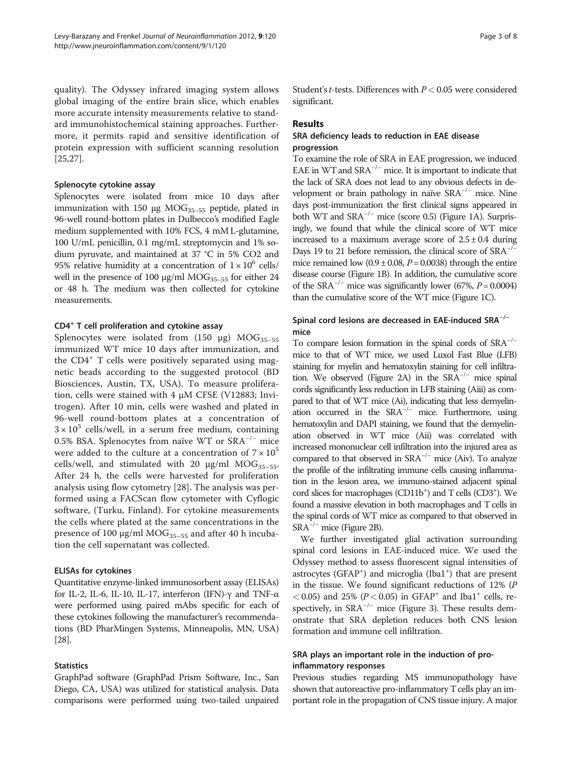quality). The Odyssey infrared imaging system allows global imaging of the entire brain slice, which enables more accurate intensity measurements relative to standard immunohistochemical staining approaches. Furthermore, it permits rapid and sensitive identification of protein expression with sufficient scanning resolution [[25,27](#page-7-0)].

#### Splenocyte cytokine assay

Splenocytes were isolated from mice 10 days after immunization with 150 μg  $MOG_{35-55}$  peptide, plated in 96-well round-bottom plates in Dulbecco's modified Eagle medium supplemented with 10% FCS, 4 mM L-glutamine, 100 U/mL penicillin, 0.1 mg/mL streptomycin and 1% sodium pyruvate, and maintained at 37 °C in 5% CO2 and 95% relative humidity at a concentration of  $1 \times 10^6$  cells/ well in the presence of 100 μg/ml MOG<sub>35-55</sub> for either 24 or 48 h. The medium was then collected for cytokine measurements.

#### CD4<sup>+</sup> T cell proliferation and cytokine assay

Splenocytes were isolated from (150 μg)  $MOG_{35-55}$ immunized WT mice 10 days after immunization, and the CD4<sup>+</sup> T cells were positively separated using magnetic beads according to the suggested protocol (BD Biosciences, Austin, TX, USA). To measure proliferation, cells were stained with 4 μM CFSE (V12883; Invitrogen). After 10 min, cells were washed and plated in 96-well round-bottom plates at a concentration of  $3 \times 10^5$  cells/well, in a serum free medium, containing 0.5% BSA. Splenocytes from naïve WT or SRA−/<sup>−</sup> mice were added to the culture at a concentration of  $7 \times 10^5$ cells/well, and stimulated with 20  $\mu$ g/ml MOG<sub>35-55</sub>. After 24 h, the cells were harvested for proliferation analysis using flow cytometry [[28](#page-7-0)]. The analysis was performed using a FACScan flow cytometer with Cyflogic software, (Turku, Finland). For cytokine measurements the cells where plated at the same concentrations in the presence of 100 μg/ml  $MOG_{35-55}$  and after 40 h incubation the cell supernatant was collected.

#### ELISAs for cytokines

Quantitative enzyme-linked immunosorbent assay (ELISAs) for IL-2, IL-6, IL-10, IL-17, interferon (IFN)-γ and TNF-α were performed using paired mAbs specific for each of these cytokines following the manufacturer's recommendations (BD PharMingen Systems, Minneapolis, MN, USA) [[28](#page-7-0)].

#### **Statistics**

GraphPad software (GraphPad Prism Software, Inc., San Diego, CA, USA) was utilized for statistical analysis. Data comparisons were performed using two-tailed unpaired Student's *t*-tests. Differences with  $P < 0.05$  were considered significant.

#### Results

#### SRA deficiency leads to reduction in EAE disease progression

To examine the role of SRA in EAE progression, we induced EAE in WT and  $SRA^{-/-}$  mice. It is important to indicate that the lack of SRA does not lead to any obvious defects in development or brain pathology in naïve SRA−/<sup>−</sup> mice. Nine days post-immunization the first clinical signs appeared in both WT and  $SRA^{-/-}$  mice (score 0.5) (Figure [1A\)](#page-3-0). Surprisingly, we found that while the clinical score of WT mice increased to a maximum average score of  $2.5 \pm 0.4$  during Days 19 to 21 before remission, the clinical score of SRA<sup>−/−</sup> mice remained low  $(0.9 \pm 0.08, P = 0.0038)$  through the entire disease course (Figure [1B\)](#page-3-0). In addition, the cumulative score of the SRA<sup>-/-</sup> mice was significantly lower (67%,  $P = 0.0004$ ) than the cumulative score of the WT mice (Figure [1C\)](#page-3-0).

## Spinal cord lesions are decreased in EAE-induced SRA−/<sup>−</sup> mice

To compare lesion formation in the spinal cords of SRA−/<sup>−</sup> mice to that of WT mice, we used Luxol Fast Blue (LFB) staining for myelin and hematoxylin staining for cell infiltra-tion. We observed (Figure [2A](#page-4-0)) in the  $SRA^{-/-}$  mice spinal cords significantly less reduction in LFB staining (Aiii) as compared to that of WT mice (Ai), indicating that less demyelination occurred in the  $SRA^{-/-}$  mice. Furthermore, using hematoxylin and DAPI staining, we found that the demyelination observed in WT mice (Aii) was correlated with increased mononuclear cell infiltration into the injured area as compared to that observed in  $SRA^{-/-}$  mice (Aiv). To analyze the profile of the infiltrating immune cells causing inflammation in the lesion area, we immuno-stained adjacent spinal cord slices for macrophages (CD11b<sup>+</sup>) and T cells (CD3<sup>+</sup>). We found a massive elevation in both macrophages and T cells in the spinal cords of WT mice as compared to that observed in  $SRA^{-/-}$  mice (Figure [2B](#page-4-0)).

We further investigated glial activation surrounding spinal cord lesions in EAE-induced mice. We used the Odyssey method to assess fluorescent signal intensities of astrocytes (GFAP<sup>+</sup>) and microglia (Iba1<sup>+</sup>) that are present in the tissue. We found significant reductions of 12% (P  $<$  0.05) and 25% (P $<$  0.05) in GFAP<sup>+</sup> and Iba1<sup>+</sup> cells, respectively, in  $SRA^{-/-}$  mice (Figure [3\)](#page-4-0). These results demonstrate that SRA depletion reduces both CNS lesion formation and immune cell infiltration.

### SRA plays an important role in the induction of proinflammatory responses

Previous studies regarding MS immunopathology have shown that autoreactive pro-inflammatory T cells play an important role in the propagation of CNS tissue injury. A major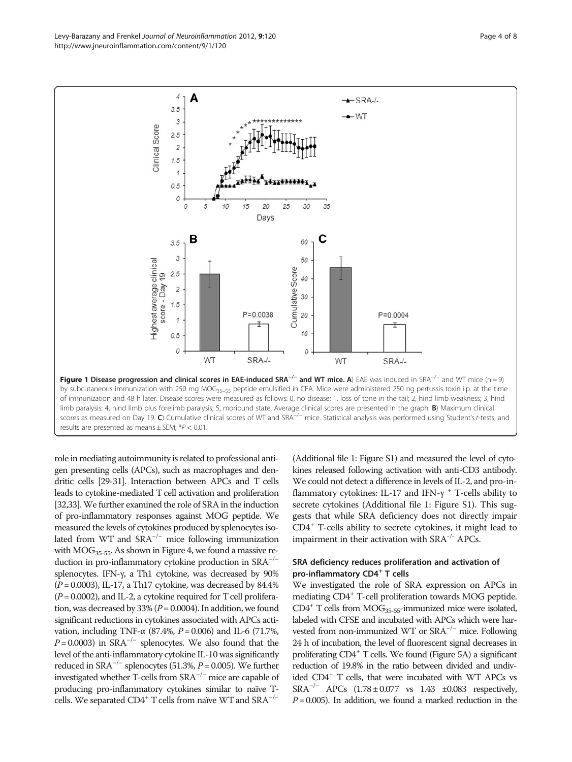<span id="page-3-0"></span>Levy-Barazany and Frenkel Journal of Neuroinflammation 2012, 9:120 http://www.jneuroinflammation.com/content/9/1/120



role in mediating autoimmunity is related to professional antigen presenting cells (APCs), such as macrophages and dendritic cells [\[29](#page-7-0)-[31\]](#page-7-0). Interaction between APCs and T cells leads to cytokine-mediated T cell activation and proliferation [[32,33](#page-7-0)]. We further examined the role of SRA in the induction of pro-inflammatory responses against MOG peptide. We measured the levels of cytokines produced by splenocytes isolated from WT and  $SRA^{-/-}$  mice following immunization with  $MOG<sub>35-55</sub>$ . As shown in Figure [4,](#page-5-0) we found a massive reduction in pro-inflammatory cytokine production in SRA−/<sup>−</sup> splenocytes. IFN-γ, a Th1 cytokine, was decreased by 90%  $(P = 0.0003)$ , IL-17, a Th17 cytokine, was decreased by 84.4%  $(P = 0.0002)$ , and IL-2, a cytokine required for T cell proliferation, was decreased by 33% ( $P = 0.0004$ ). In addition, we found significant reductions in cytokines associated with APCs activation, including TNF- $\alpha$  (87.4%,  $P = 0.006$ ) and IL-6 (71.7%,  $P = 0.0003$ ) in SRA<sup>-/-</sup> splenocytes. We also found that the level of the anti-inflammatory cytokine IL-10 was significantly reduced in SRA<sup> $-/-$ </sup> splenocytes (51.3%,  $P = 0.005$ ). We further investigated whether T-cells from SRA−/<sup>−</sup> mice are capable of producing pro-inflammatory cytokines similar to naïve Tcells. We separated CD4<sup>+</sup> T cells from naïve WT and  $SRA^{-/-}$ 

(Additional file [1:](#page-6-0) Figure S1) and measured the level of cytokines released following activation with anti-CD3 antibody. We could not detect a difference in levels of IL-2, and pro-inflammatory cytokines: IL-17 and IFN- $\gamma$ <sup>+</sup> T-cells ability to secrete cytokines (Additional file [1:](#page-6-0) Figure S1). This suggests that while SRA deficiency does not directly impair CD4+ T-cells ability to secrete cytokines, it might lead to impairment in their activation with SRA-/- APCs.

## SRA deficiency reduces proliferation and activation of pro-inflammatory CD4<sup>+</sup> T cells

We investigated the role of SRA expression on APCs in mediating CD4+ T-cell proliferation towards MOG peptide.  $CD4^+$  T cells from MOG<sub>35-55</sub>-immunized mice were isolated, labeled with CFSE and incubated with APCs which were harvested from non-immunized WT or SRA−/<sup>−</sup> mice. Following 24 h of incubation, the level of fluorescent signal decreases in proliferating CD4+ T cells. We found (Figure [5A\)](#page-6-0) a significant reduction of 19.8% in the ratio between divided and undivided CD4<sup>+</sup> T cells, that were incubated with WT APCs vs SRA−/<sup>−</sup> APCs (1.78 ± 0.077 vs 1.43 ±0.083 respectively,  $P = 0.005$ ). In addition, we found a marked reduction in the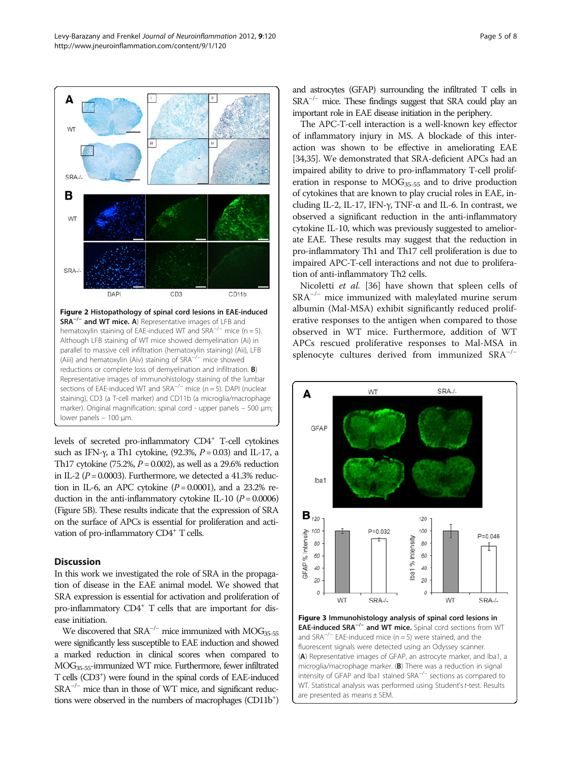levels of secreted pro-inflammatory CD4+ T-cell cytokines such as IFN- $\gamma$ , a Th1 cytokine, (92.3%,  $P = 0.03$ ) and IL-17, a Th17 cytokine (75.2%,  $P = 0.002$ ), as well as a 29.6% reduction in IL-2 ( $P = 0.0003$ ). Furthermore, we detected a 41.3% reduction in IL-6, an APC cytokine  $(P = 0.0001)$ , and a 23.2% reduction in the anti-inflammatory cytokine IL-10  $(P = 0.0006)$ (Figure [5B](#page-6-0)). These results indicate that the expression of SRA on the surface of APCs is essential for proliferation and activation of pro-inflammatory CD4<sup>+</sup> T cells.

Representative images of immunohistology staining of the lumbar sections of EAE-induced WT and SRA<sup>-/−</sup> mice (n = 5). DAPI (nuclear staining), CD3 (a T-cell marker) and CD11b (a microglia/macrophage marker). Original magnification: spinal cord - upper panels – 500 μm;

#### **Discussion**

lower panels – 100 μm.

In this work we investigated the role of SRA in the propagation of disease in the EAE animal model. We showed that SRA expression is essential for activation and proliferation of pro-inflammatory  $CD4^+$  T cells that are important for disease initiation.

We discovered that  $SRA^{-/-}$  mice immunized with MOG<sub>35-55</sub> were significantly less susceptible to EAE induction and showed a marked reduction in clinical scores when compared to MOG35-55-immunized WT mice. Furthermore, fewer infiltrated T cells (CD3+ ) were found in the spinal cords of EAE-induced SRA<sup>-/−</sup> mice than in those of WT mice, and significant reductions were observed in the numbers of macrophages (CD11b<sup>+</sup>)

and astrocytes (GFAP) surrounding the infiltrated T cells in  $SRA^{-/-}$  mice. These findings suggest that SRA could play an important role in EAE disease initiation in the periphery.

The APC-T-cell interaction is a well-known key effector of inflammatory injury in MS. A blockade of this interaction was shown to be effective in ameliorating EAE [[34,35\]](#page-7-0). We demonstrated that SRA-deficient APCs had an impaired ability to drive to pro-inflammatory T-cell proliferation in response to  $MOG_{35-55}$  and to drive production of cytokines that are known to play crucial roles in EAE, including IL-2, IL-17, IFN-γ, TNF-α and IL-6. In contrast, we observed a significant reduction in the anti-inflammatory cytokine IL-10, which was previously suggested to ameliorate EAE. These results may suggest that the reduction in pro-inflammatory Th1 and Th17 cell proliferation is due to impaired APC-T-cell interactions and not due to proliferation of anti-inflammatory Th2 cells.

Nicoletti et al. [[36](#page-7-0)] have shown that spleen cells of SRA−/<sup>−</sup> mice immunized with maleylated murine serum albumin (Mal-MSA) exhibit significantly reduced proliferative responses to the antigen when compared to those observed in WT mice. Furthermore, addition of WT APCs rescued proliferative responses to Mal-MSA in splenocyte cultures derived from immunized SRA<sup>-/−</sup>

WT

 $P = 0.032$ 

A

**GFAP** 

lba1

 $B_{120}$ 

GFAP % Intensity

100

80

60

40

 $\overline{20}$ 

 $\mathcal{O}$ 

SRA-/-



120 100

80

60

 $40$ 

20

 $\mathcal{O}$ 

Iba1 % Intensity

 $P = 0.046$ 

<span id="page-4-0"></span>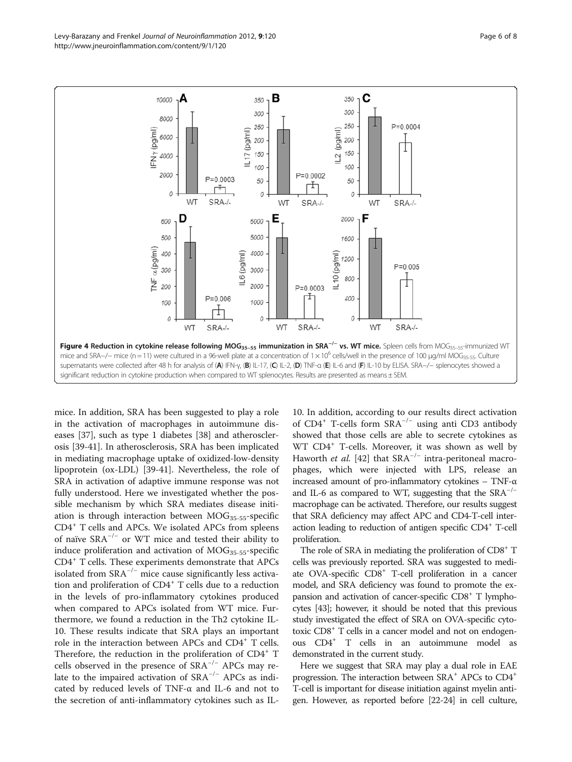<span id="page-5-0"></span>

mice. In addition, SRA has been suggested to play a role in the activation of macrophages in autoimmune diseases [\[37](#page-7-0)], such as type 1 diabetes [[38\]](#page-7-0) and atherosclerosis [\[39](#page-7-0)-[41](#page-7-0)]. In atherosclerosis, SRA has been implicated in mediating macrophage uptake of oxidized-low-density lipoprotein (ox-LDL) [\[39](#page-7-0)-[41\]](#page-7-0). Nevertheless, the role of SRA in activation of adaptive immune response was not fully understood. Here we investigated whether the possible mechanism by which SRA mediates disease initiation is through interaction between  $MOG<sub>35-55</sub>$ -specific CD4<sup>+</sup> T cells and APCs. We isolated APCs from spleens of naïve  $SRA^{-/-}$  or WT mice and tested their ability to induce proliferation and activation of  $MOG<sub>35-55</sub>$ -specific CD4<sup>+</sup> T cells. These experiments demonstrate that APCs isolated from  $SRA^{-/-}$  mice cause significantly less activation and proliferation of CD4<sup>+</sup> T cells due to a reduction in the levels of pro-inflammatory cytokines produced when compared to APCs isolated from WT mice. Furthermore, we found a reduction in the Th2 cytokine IL-10. These results indicate that SRA plays an important role in the interaction between APCs and CD4<sup>+</sup> T cells. Therefore, the reduction in the proliferation of CD4<sup>+</sup> T cells observed in the presence of  $SRA^{-/-}$  APCs may relate to the impaired activation of  $SRA^{-/-}$  APCs as indicated by reduced levels of TNF-α and IL-6 and not to the secretion of anti-inflammatory cytokines such as IL-

10. In addition, according to our results direct activation of CD4<sup>+</sup> T-cells form  $SRA^{-/-}$  using anti CD3 antibody showed that those cells are able to secrete cytokines as WT CD4<sup>+</sup> T-cells. Moreover, it was shown as well by Haworth *et al.* [\[42](#page-7-0)] that  $SRA^{-/-}$  intra-peritoneal macrophages, which were injected with LPS, release an increased amount of pro-inflammatory cytokines – TNF-α and IL-6 as compared to WT, suggesting that the  $SRA^{-/-}$ macrophage can be activated. Therefore, our results suggest that SRA deficiency may affect APC and CD4-T-cell interaction leading to reduction of antigen specific CD4<sup>+</sup> T-cell proliferation.

The role of SRA in mediating the proliferation of  $CD8<sup>+</sup> T$ cells was previously reported. SRA was suggested to mediate OVA-specific CD8<sup>+</sup> T-cell proliferation in a cancer model, and SRA deficiency was found to promote the expansion and activation of cancer-specific  $CD8<sup>+</sup>$  T lymphocytes [\[43](#page-7-0)]; however, it should be noted that this previous study investigated the effect of SRA on OVA-specific cytotoxic CD8<sup>+</sup> T cells in a cancer model and not on endogenous CD4+ T cells in an autoimmune model as demonstrated in the current study.

Here we suggest that SRA may play a dual role in EAE progression. The interaction between  $SRA^+$  APCs to  $CD4^+$ T-cell is important for disease initiation against myelin antigen. However, as reported before [\[22-24](#page-7-0)] in cell culture,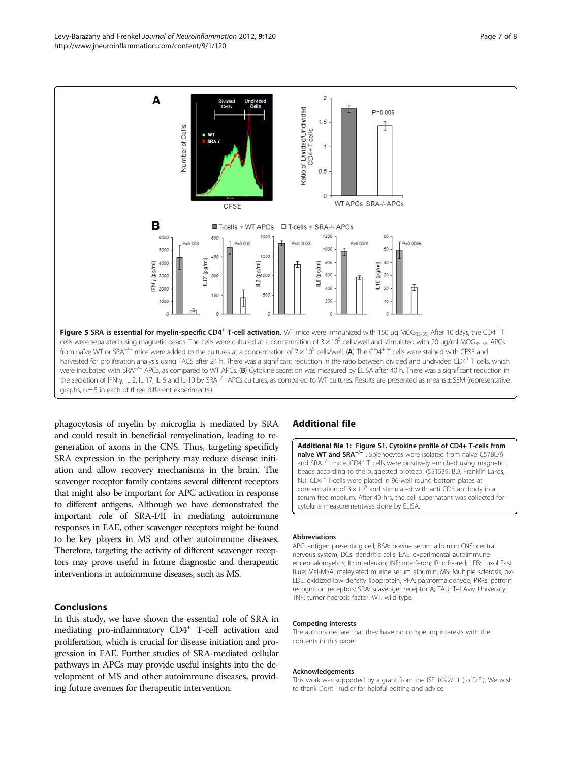phagocytosis of myelin by microglia is mediated by SRA and could result in beneficial remyelination, leading to regeneration of axons in the CNS. Thus, targeting specificly SRA expression in the periphery may reduce disease initiation and allow recovery mechanisms in the brain. The scavenger receptor family contains several different receptors that might also be important for APC activation in response to different antigens. Although we have demonstrated the important role of SRA-I/II in mediating autoimmune responses in EAE, other scavenger receptors might be found to be key players in MS and other autoimmune diseases. Therefore, targeting the activity of different scavenger receptors may prove useful in future diagnostic and therapeutic interventions in autoimmune diseases, such as MS.

#### Conclusions

In this study, we have shown the essential role of SRA in mediating pro-inflammatory CD4<sup>+</sup> T-cell activation and proliferation, which is crucial for disease initiation and progression in EAE. Further studies of SRA-mediated cellular pathways in APCs may provide useful insights into the development of MS and other autoimmune diseases, providing future avenues for therapeutic intervention.

#### Additional file

[Additional file 1](http://www.biomedcentral.com/content/supplementary/1742-2094-9-120-S1.tiff): Figure S1. Cytokine profile of CD4+ T-cells from naïve WT and SRA<sup>-/-</sup> . Splenocytes were isolated from naive C57BL/6 and SRA−/<sup>−</sup> mice. CD4<sup>+</sup> T cells were positively enriched using magnetic beads according to the suggested protocol (551539; BD, Franklin Lakes, NJ). CD4 <sup>+</sup> T-cells were plated in 96-well round-bottom plates at concentration of  $3 \times 10^5$  and stimulated with anti CD3 antibody in a serum free medium. After 40 hrs, the cell supernatant was collected for cytokine measurementwas done by ELISA.

#### Abbreviations

APC: antigen presenting cell; BSA: bovine serum albumin; CNS: central nervous system; DCs: dendritic cells; EAE: experimental autoimmune encephalomyelitis; IL: interleukin; INF: interferon; IR: infra-red; LFB: Luxol Fast Blue; Mal-MSA: maleylated murine serum albumin; MS: Multiple sclerosis; ox-LDL: oxidized-low-density lipoprotein; PFA: paraformaldehyde; PRRs: pattern recognition receptors; SRA: scavenger receptor A; TAU: Tel Aviv University; TNF: tumor necrosis factor; WT: wild-type.

#### Competing interests

The authors declare that they have no competing interests with the contents in this paper.

#### Acknowledgements

This work was supported by a grant from the ISF 1092/11 (to D.F.). We wish to thank Dorit Trudler for helpful editing and advice.

<span id="page-6-0"></span>